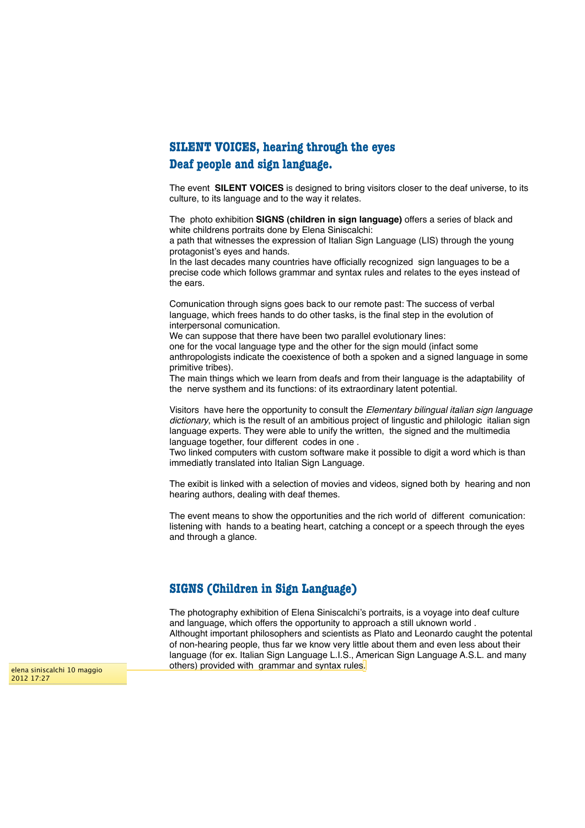## **SILENT VOICES, hearing through the eyes Deaf people and sign language.**

The event **SILENT VOICES** is designed to bring visitors closer to the deaf universe, to its culture, to its language and to the way it relates.

The photo exhibition **SIGNS (children in sign language)** offers a series of black and white childrens portraits done by Elena Siniscalchi:

a path that witnesses the expression of Italian Sign Language (LIS) through the young protagonist's eyes and hands.

In the last decades many countries have officially recognized sign languages to be a precise code which follows grammar and syntax rules and relates to the eyes instead of the ears.

Comunication through signs goes back to our remote past: The success of verbal language, which frees hands to do other tasks, is the final step in the evolution of interpersonal comunication.

We can suppose that there have been two parallel evolutionary lines: one for the vocal language type and the other for the sign mould (infact some anthropologists indicate the coexistence of both a spoken and a signed language in some primitive tribes).

The main things which we learn from deafs and from their language is the adaptability of the nerve systhem and its functions: of its extraordinary latent potential.

Visitors have here the opportunity to consult the *Elementary bilingual italian sign language dictionary*, which is the result of an ambitious project of lingustic and philologic italian sign language experts. They were able to unify the written, the signed and the multimedia language together, four different codes in one .

Two linked computers with custom software make it possible to digit a word which is than immediatly translated into Italian Sign Language.

The exibit is linked with a selection of movies and videos, signed both by hearing and non hearing authors, dealing with deaf themes.

The event means to show the opportunities and the rich world of different comunication: listening with hands to a beating heart, catching a concept or a speech through the eyes and through a glance.

## **SIGNS (Children in Sign Language)**

The photography exhibition of Elena Siniscalchi's portraits, is a voyage into deaf culture and language, which offers the opportunity to approach a still uknown world . Althought important philosophers and scientists as Plato and Leonardo caught the potental of non-hearing people, thus far we know very little about them and even less about their language (for ex. Italian Sign Language L.I.S., American Sign Language A.S.L. and many elena siniscalchi 10 maggio **choming contrary provided with grammar and syntax rules** 

2012 17:27